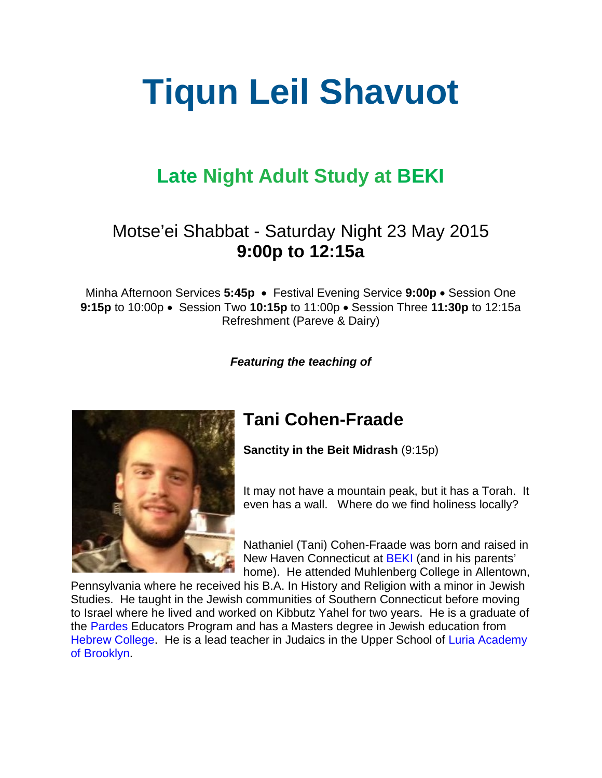# **Tiqun Leil Shavuot**

# **Late Night Adult Study at [BEKI](http://www.beki.org/)**

#### Motse'ei Shabbat - Saturday Night 23 May 2015 **9:00p to 12:15a**

Minha Afternoon Services **5:45p** • Festival Evening Service **9:00p** • Session One **9:15p** to 10:00p • Session Two **10:15p** to 11:00p • Session Three **11:30p** to 12:15a Refreshment (Pareve & Dairy)

*Featuring the teaching of*



### **Tani Cohen-Fraade**

**Sanctity in the Beit Midrash** (9:15p)

It may not have a mountain peak, but it has a Torah. It even has a wall. Where do we find holiness locally?

Nathaniel (Tani) Cohen-Fraade was born and raised in New Haven Connecticut at BEKI (and in his parents' home). He attended Muhlenberg College in Allentown,

Pennsylvania where he received his B.A. In History and Religion with a minor in Jewish Studies. He taught in the Jewish communities of Southern Connecticut before moving to Israel where he lived and worked on Kibbutz Yahel for two years. He is a graduate of the [Pardes](http://www.pardes.org.il/) Educators Program and has a Masters degree in Jewish education from [Hebrew College.](http://www.hebrewcollege.edu/) He is a lead teacher in Judaics in the Upper School of [Luria Academy](http://www.luria-academy.org/) [of Brooklyn.](http://www.luria-academy.org/)